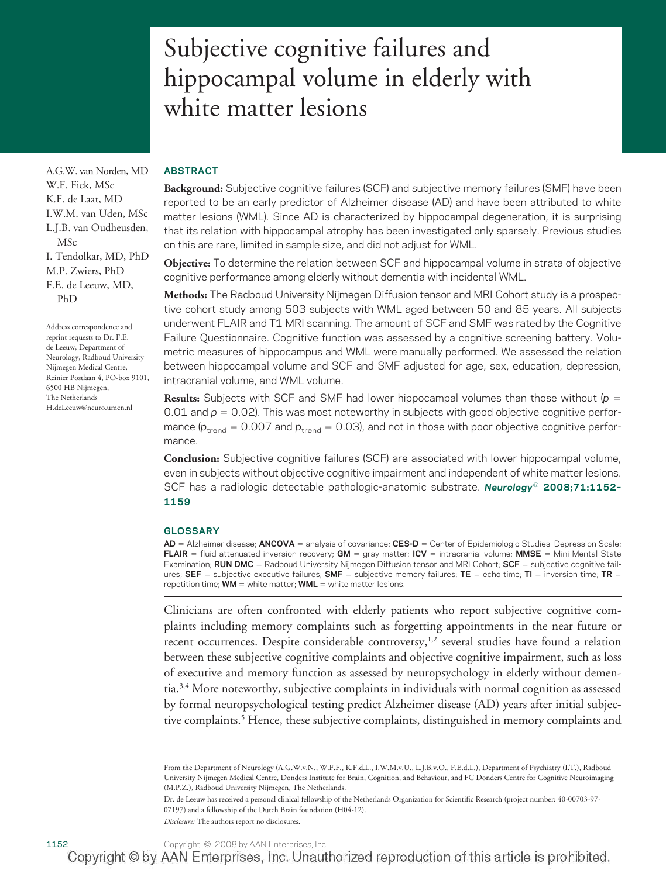# Subjective cognitive failures and hippocampal volume in elderly with white matter lesions

### **ABSTRACT**

**Background:** Subjective cognitive failures (SCF) and subjective memory failures (SMF) have been reported to be an early predictor of Alzheimer disease (AD) and have been attributed to white matter lesions (WML). Since AD is characterized by hippocampal degeneration, it is surprising that its relation with hippocampal atrophy has been investigated only sparsely. Previous studies on this are rare, limited in sample size, and did not adjust for WML.

**Objective:** To determine the relation between SCF and hippocampal volume in strata of objective cognitive performance among elderly without dementia with incidental WML.

**Methods:** The Radboud University Nijmegen Diffusion tensor and MRI Cohort study is a prospective cohort study among 503 subjects with WML aged between 50 and 85 years. All subjects underwent FLAIR and T1 MRI scanning. The amount of SCF and SMF was rated by the Cognitive Failure Questionnaire. Cognitive function was assessed by a cognitive screening battery. Volumetric measures of hippocampus and WML were manually performed. We assessed the relation between hippocampal volume and SCF and SMF adjusted for age, sex, education, depression, intracranial volume, and WML volume.

**Results:** Subjects with SCF and SMF had lower hippocampal volumes than those without (*p* 0.01 and  $p = 0.02$ ). This was most noteworthy in subjects with good objective cognitive performance ( $p_{\text{trend}} = 0.007$  and  $p_{\text{trend}} = 0.03$ ), and not in those with poor objective cognitive performance.

**Conclusion:** Subjective cognitive failures (SCF) are associated with lower hippocampal volume, even in subjects without objective cognitive impairment and independent of white matter lesions. SCF has a radiologic detectable pathologic-anatomic substrate. *Neurology*® **2008;71:1152– 1159**

#### **GLOSSARY**

**AD** = Alzheimer disease; **ANCOVA** = analysis of covariance; **CES-D** = Center of Epidemiologic Studies-Depression Scale; **FLAIR** = fluid attenuated inversion recovery;  $GM =$  gray matter;  $ICV =$  intracranial volume;  $MMSE =$  Mini-Mental State Examination; **RUN DMC** = Radboud University Nijmegen Diffusion tensor and MRI Cohort; **SCF** = subjective cognitive failures; SEF = subjective executive failures; SMF = subjective memory failures; TE = echo time; TI = inversion time; TR = repetition time;  $WM =$  white matter;  $WML =$  white matter lesions.

Clinicians are often confronted with elderly patients who report subjective cognitive complaints including memory complaints such as forgetting appointments in the near future or recent occurrences. Despite considerable controversy,<sup>1,2</sup> several studies have found a relation between these subjective cognitive complaints and objective cognitive impairment, such as loss of executive and memory function as assessed by neuropsychology in elderly without dementia.3,4 More noteworthy, subjective complaints in individuals with normal cognition as assessed by formal neuropsychological testing predict Alzheimer disease (AD) years after initial subjective complaints.5 Hence, these subjective complaints, distinguished in memory complaints and

A.G.W. van Norden, MD W.F. Fick, MSc K.F. de Laat, MD I.W.M. van Uden, MSc L.J.B. van Oudheusden, MSc I. Tendolkar, MD, PhD M.P. Zwiers, PhD F.E. de Leeuw, MD, PhD

Address correspondence and reprint requests to Dr. F.E. de Leeuw, Department of Neurology, Radboud University Nijmegen Medical Centre, Reinier Postlaan 4, PO-box 9101, 6500 HB Nijmegen, The Netherlands H.deLeeuw@neuro.umcn.nl

From the Department of Neurology (A.G.W.v.N., W.F.F., K.F.d.L., I.W.M.v.U., L.J.B.v.O., F.E.d.L.), Department of Psychiatry (I.T.), Radboud University Nijmegen Medical Centre, Donders Institute for Brain, Cognition, and Behaviour, and FC Donders Centre for Cognitive Neuroimaging (M.P.Z.), Radboud University Nijmegen, The Netherlands.

Dr. de Leeuw has received a personal clinical fellowship of the Netherlands Organization for Scientific Research (project number: 40-00703-97- 07197) and a fellowship of the Dutch Brain foundation (H04-12). *Disclosure:* The authors report no disclosures.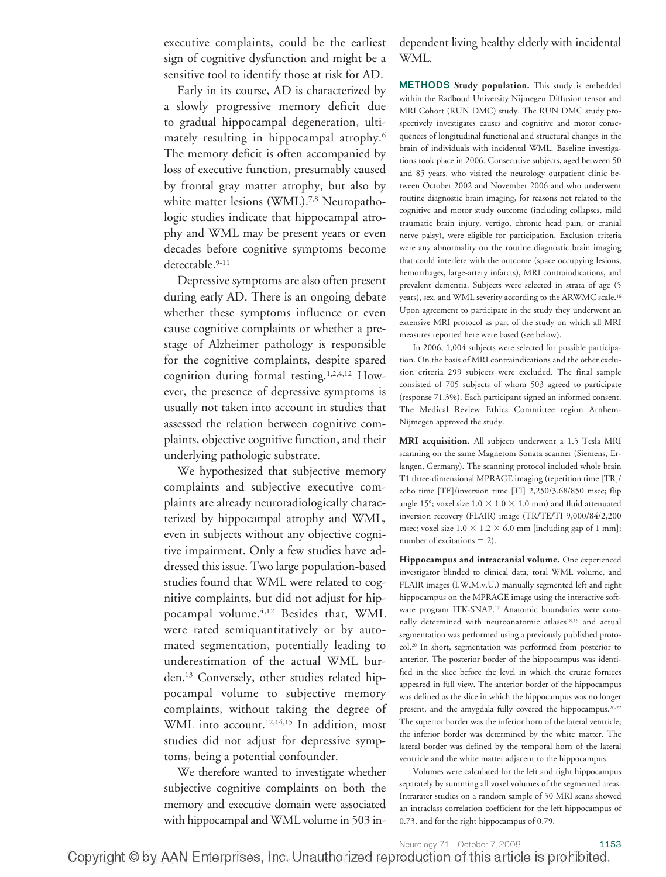executive complaints, could be the earliest sign of cognitive dysfunction and might be a sensitive tool to identify those at risk for AD.

Early in its course, AD is characterized by a slowly progressive memory deficit due to gradual hippocampal degeneration, ultimately resulting in hippocampal atrophy.6 The memory deficit is often accompanied by loss of executive function, presumably caused by frontal gray matter atrophy, but also by white matter lesions (WML).<sup>7,8</sup> Neuropathologic studies indicate that hippocampal atrophy and WML may be present years or even decades before cognitive symptoms become detectable.<sup>9-11</sup>

Depressive symptoms are also often present during early AD. There is an ongoing debate whether these symptoms influence or even cause cognitive complaints or whether a prestage of Alzheimer pathology is responsible for the cognitive complaints, despite spared cognition during formal testing.1,2,4,12 However, the presence of depressive symptoms is usually not taken into account in studies that assessed the relation between cognitive complaints, objective cognitive function, and their underlying pathologic substrate.

We hypothesized that subjective memory complaints and subjective executive complaints are already neuroradiologically characterized by hippocampal atrophy and WML, even in subjects without any objective cognitive impairment. Only a few studies have addressed this issue. Two large population-based studies found that WML were related to cognitive complaints, but did not adjust for hippocampal volume.4,12 Besides that, WML were rated semiquantitatively or by automated segmentation, potentially leading to underestimation of the actual WML burden.13 Conversely, other studies related hippocampal volume to subjective memory complaints, without taking the degree of WML into account.<sup>12,14,15</sup> In addition, most studies did not adjust for depressive symptoms, being a potential confounder.

We therefore wanted to investigate whether subjective cognitive complaints on both the memory and executive domain were associated with hippocampal and WML volume in 503 independent living healthy elderly with incidental WML.

**METHODS Study population.** This study is embedded within the Radboud University Nijmegen Diffusion tensor and MRI Cohort (RUN DMC) study. The RUN DMC study prospectively investigates causes and cognitive and motor consequences of longitudinal functional and structural changes in the brain of individuals with incidental WML. Baseline investigations took place in 2006. Consecutive subjects, aged between 50 and 85 years, who visited the neurology outpatient clinic between October 2002 and November 2006 and who underwent routine diagnostic brain imaging, for reasons not related to the cognitive and motor study outcome (including collapses, mild traumatic brain injury, vertigo, chronic head pain, or cranial nerve palsy), were eligible for participation. Exclusion criteria were any abnormality on the routine diagnostic brain imaging that could interfere with the outcome (space occupying lesions, hemorrhages, large-artery infarcts), MRI contraindications, and prevalent dementia. Subjects were selected in strata of age (5 years), sex, and WML severity according to the ARWMC scale.16 Upon agreement to participate in the study they underwent an extensive MRI protocol as part of the study on which all MRI measures reported here were based (see below).

In 2006, 1,004 subjects were selected for possible participation. On the basis of MRI contraindications and the other exclusion criteria 299 subjects were excluded. The final sample consisted of 705 subjects of whom 503 agreed to participate (response 71.3%). Each participant signed an informed consent. The Medical Review Ethics Committee region Arnhem-Nijmegen approved the study.

**MRI acquisition.** All subjects underwent a 1.5 Tesla MRI scanning on the same Magnetom Sonata scanner (Siemens, Erlangen, Germany). The scanning protocol included whole brain T1 three-dimensional MPRAGE imaging (repetition time [TR]/ echo time [TE]/inversion time [TI] 2,250/3.68/850 msec; flip angle 15°; voxel size 1.0  $\times$  1.0  $\times$  1.0 mm) and fluid attenuated inversion recovery (FLAIR) image (TR/TE/TI 9,000/84/2,200 msec; voxel size  $1.0 \times 1.2 \times 6.0$  mm [including gap of 1 mm]; number of excitations  $= 2$ ).

**Hippocampus and intracranial volume.** One experienced investigator blinded to clinical data, total WML volume, and FLAIR images (I.W.M.v.U.) manually segmented left and right hippocampus on the MPRAGE image using the interactive software program ITK-SNAP.17 Anatomic boundaries were coronally determined with neuroanatomic atlases<sup>18,19</sup> and actual segmentation was performed using a previously published protocol.20 In short, segmentation was performed from posterior to anterior. The posterior border of the hippocampus was identified in the slice before the level in which the crurae fornices appeared in full view. The anterior border of the hippocampus was defined as the slice in which the hippocampus was no longer present, and the amygdala fully covered the hippocampus.20-22 The superior border was the inferior horn of the lateral ventricle; the inferior border was determined by the white matter. The lateral border was defined by the temporal horn of the lateral ventricle and the white matter adjacent to the hippocampus.

Volumes were calculated for the left and right hippocampus separately by summing all voxel volumes of the segmented areas. Intrarater studies on a random sample of 50 MRI scans showed an intraclass correlation coefficient for the left hippocampus of 0.73, and for the right hippocampus of 0.79.

Neurology 71 October 7, 2008 1153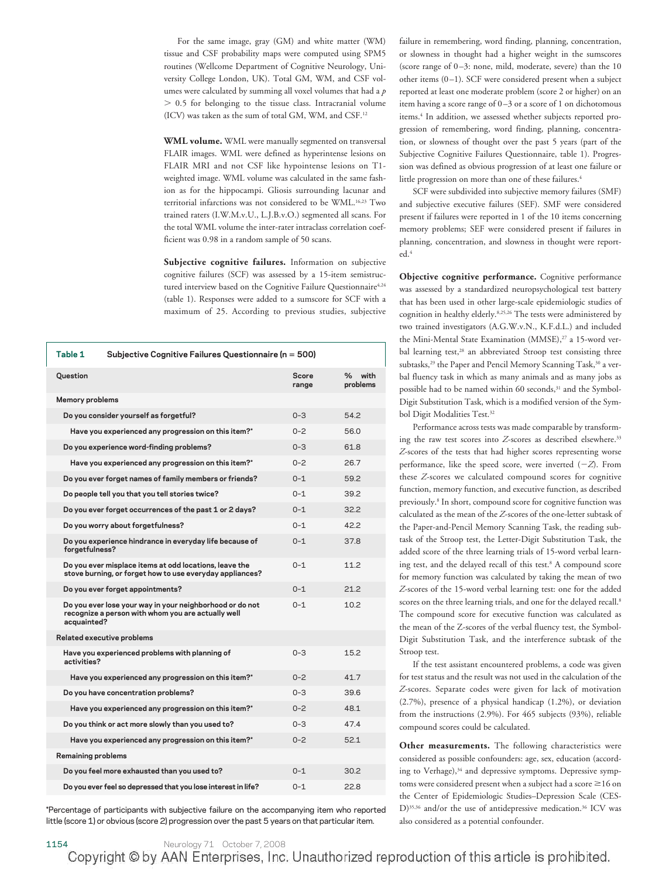For the same image, gray (GM) and white matter (WM) tissue and CSF probability maps were computed using SPM5 routines (Wellcome Department of Cognitive Neurology, University College London, UK). Total GM, WM, and CSF volumes were calculated by summing all voxel volumes that had a *p*  $> 0.5$  for belonging to the tissue class. Intracranial volume (ICV) was taken as the sum of total GM, WM, and CSF.12

**WML volume.** WML were manually segmented on transversal FLAIR images. WML were defined as hyperintense lesions on FLAIR MRI and not CSF like hypointense lesions on T1 weighted image. WML volume was calculated in the same fashion as for the hippocampi. Gliosis surrounding lacunar and territorial infarctions was not considered to be WML.16,23 Two trained raters (I.W.M.v.U., L.J.B.v.O.) segmented all scans. For the total WML volume the inter-rater intraclass correlation coefficient was 0.98 in a random sample of 50 scans.

**Subjective cognitive failures.** Information on subjective cognitive failures (SCF) was assessed by a 15-item semistructured interview based on the Cognitive Failure Questionnaire<sup>4,24</sup> (table 1). Responses were added to a sumscore for SCF with a maximum of 25. According to previous studies, subjective

| Table 1                                | Subjective Cognitive Failures Questionnaire (n = 500)                                                              |                |                    |  |  |
|----------------------------------------|--------------------------------------------------------------------------------------------------------------------|----------------|--------------------|--|--|
| Question                               |                                                                                                                    | Score<br>range | % with<br>problems |  |  |
| <b>Memory problems</b>                 |                                                                                                                    |                |                    |  |  |
| Do you consider yourself as forgetful? |                                                                                                                    | $0 - 3$        | 542                |  |  |
|                                        | Have you experienced any progression on this item?"                                                                | $0 - 2$        | 56.0               |  |  |
|                                        | Do you experience word-finding problems?                                                                           | $0 - 3$        | 61 8               |  |  |
|                                        | Have you experienced any progression on this item?"                                                                | $0 - 2$        | 267                |  |  |
|                                        | Do you ever forget names of family members or friends?                                                             | $0 - 1$        | 592                |  |  |
|                                        | Do people tell you that you tell stories twice?                                                                    | $0 - 1$        | 392                |  |  |
|                                        | Do you ever forget occurrences of the past 1 or 2 days?                                                            | $0 - 1$        | 32.2               |  |  |
|                                        | Do you worry about forgetfulness?                                                                                  | $0 - 1$        | 422                |  |  |
| forgetfulness?                         | Do you experience hindrance in everyday life because of                                                            | $0 - 1$        | 37.8               |  |  |
|                                        | Do you ever misplace items at odd locations, leave the<br>stove burning, or forget how to use everyday appliances? | $0 - 1$        | 11.2               |  |  |
|                                        | Do you ever forget appointments?                                                                                   | $0 - 1$        | 21.2               |  |  |
| acquainted?                            | Do you ever lose your way in your neighborhood or do not<br>recognize a person with whom you are actually well     | $0 - 1$        | 10.2               |  |  |
|                                        | Related executive problems                                                                                         |                |                    |  |  |
| activities?                            | Have you experienced problems with planning of                                                                     | $0 - 3$        | 152                |  |  |
|                                        | Have you experienced any progression on this item?"                                                                | $0 - 2$        | 417                |  |  |
|                                        | Do you have concentration problems?                                                                                | $0 - 3$        | 396                |  |  |
|                                        | Have you experienced any progression on this item?"                                                                | $0 - 2$        | 48.1               |  |  |
|                                        | Do you think or act more slowly than you used to?                                                                  | $0 - 3$        | 474                |  |  |
|                                        | Have you experienced any progression on this item?"                                                                | $0 - 2$        | 52.1               |  |  |
| <b>Remaining problems</b>              |                                                                                                                    |                |                    |  |  |
|                                        | Do you feel more exhausted than you used to?                                                                       | $0 - 1$        | 30.2               |  |  |
|                                        | Do you ever feel so depressed that you lose interest in life?                                                      | $0 - 1$        | 22.8               |  |  |

\*Percentage of participants with subjective failure on the accompanying item who reported little (score 1) or obvious (score 2) progression over the past 5 years on that particular item.

failure in remembering, word finding, planning, concentration, or slowness in thought had a higher weight in the sumscores (score range of 0 –3: none, mild, moderate, severe) than the 10 other items  $(0-1)$ . SCF were considered present when a subject reported at least one moderate problem (score 2 or higher) on an item having a score range of 0 –3 or a score of 1 on dichotomous items.<sup>4</sup> In addition, we assessed whether subjects reported progression of remembering, word finding, planning, concentration, or slowness of thought over the past 5 years (part of the Subjective Cognitive Failures Questionnaire, table 1). Progression was defined as obvious progression of at least one failure or little progression on more than one of these failures.<sup>4</sup>

SCF were subdivided into subjective memory failures (SMF) and subjective executive failures (SEF). SMF were considered present if failures were reported in 1 of the 10 items concerning memory problems; SEF were considered present if failures in planning, concentration, and slowness in thought were reported.<sup>4</sup>

**Objective cognitive performance.** Cognitive performance was assessed by a standardized neuropsychological test battery that has been used in other large-scale epidemiologic studies of cognition in healthy elderly.8,25,26 The tests were administered by two trained investigators (A.G.W.v.N., K.F.d.L.) and included the Mini-Mental State Examination (MMSE),<sup>27</sup> a 15-word verbal learning test,<sup>28</sup> an abbreviated Stroop test consisting three subtasks,<sup>29</sup> the Paper and Pencil Memory Scanning Task,<sup>30</sup> a verbal fluency task in which as many animals and as many jobs as possible had to be named within 60 seconds,<sup>31</sup> and the Symbol-Digit Substitution Task, which is a modified version of the Symbol Digit Modalities Test.32

Performance across tests was made comparable by transforming the raw test scores into *Z*-scores as described elsewhere.<sup>33</sup> *Z*-scores of the tests that had higher scores representing worse performance, like the speed score, were inverted  $(-Z)$ . From these *Z*-scores we calculated compound scores for cognitive function, memory function, and executive function, as described previously.8 In short, compound score for cognitive function was calculated as the mean of the *Z*-scores of the one-letter subtask of the Paper-and-Pencil Memory Scanning Task, the reading subtask of the Stroop test, the Letter-Digit Substitution Task, the added score of the three learning trials of 15-word verbal learning test, and the delayed recall of this test.<sup>8</sup> A compound score for memory function was calculated by taking the mean of two *Z*-scores of the 15-word verbal learning test: one for the added scores on the three learning trials, and one for the delayed recall.<sup>8</sup> The compound score for executive function was calculated as the mean of the Z-scores of the verbal fluency test, the Symbol-Digit Substitution Task, and the interference subtask of the Stroop test.

If the test assistant encountered problems, a code was given for test status and the result was not used in the calculation of the *Z*-scores. Separate codes were given for lack of motivation (2.7%), presence of a physical handicap (1.2%), or deviation from the instructions (2.9%). For 465 subjects (93%), reliable compound scores could be calculated.

**Other measurements.** The following characteristics were considered as possible confounders: age, sex, education (according to Verhage),<sup>34</sup> and depressive symptoms. Depressive symptoms were considered present when a subject had a score  $\geq$  16 on the Center of Epidemiologic Studies–Depression Scale (CES-D)<sup>35,36</sup> and/or the use of antidepressive medication.<sup>36</sup> ICV was also considered as a potential confounder.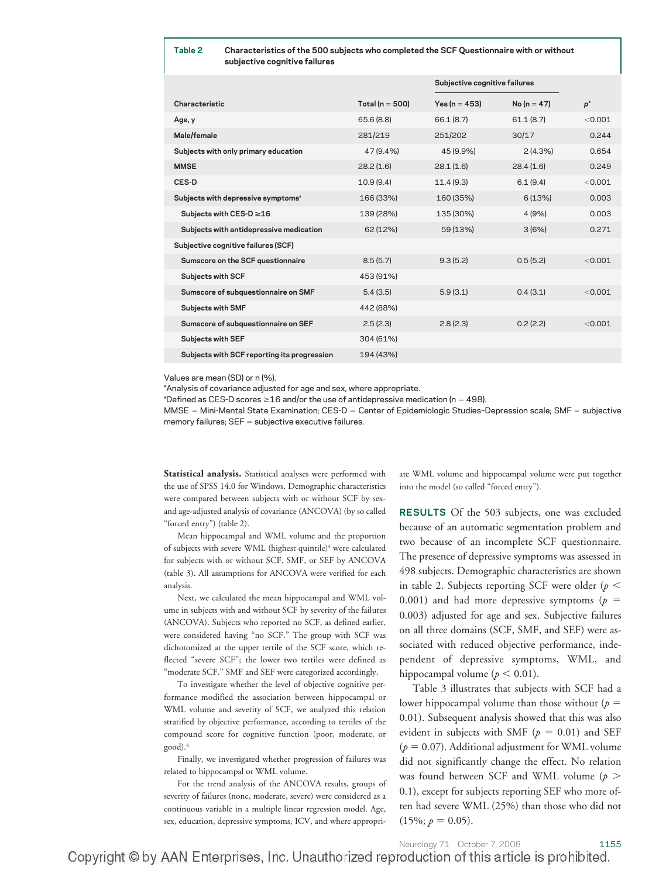#### **Table 2 Characteristics of the 500 subjects who completed the SCF Questionnaire with or without subjective cognitive failures**

|                                                |                     | Subjective cognitive failures |               |         |
|------------------------------------------------|---------------------|-------------------------------|---------------|---------|
| Characteristic                                 | Total ( $n = 500$ ) | $Yes (n = 453)$               | $No (n = 47)$ | p*      |
| Age, y                                         | 65.6 (8.8)          | 66.1 (8.7)                    | 61.1(8.7)     | < 0.001 |
| Male/female                                    | 281/219             | 251/202                       | 30/17         | 0.244   |
| Subjects with only primary education           | 47 (9.4%)           | 45 (9.9%)                     | 2(4.3%)       | 0.654   |
| <b>MMSE</b>                                    | 28.2(1.6)           | 28.1(1.6)                     | 28.4(1.6)     | 0.249   |
| CES-D                                          | 10.9(9.4)           | 11.4(9.3)                     | 6.1(9.4)      | < 0.001 |
| Subjects with depressive symptoms <sup>+</sup> | 166 (33%)           | 160 (35%)                     | 6(13%)        | 0.003   |
| Subjects with CES-D ≥16                        | 139 (28%)           | 135 (30%)                     | 4 (9%)        | 0.003   |
| Subjects with antidepressive medication        | 62 (12%)            | 59 (13%)                      | 3(6%)         | 0.271   |
| Subjective cognitive failures (SCF)            |                     |                               |               |         |
| Sumscore on the SCF questionnaire              | 8.5(5.7)            | 9.3(5.2)                      | 0.5(5.2)      | < 0.001 |
| <b>Subjects with SCF</b>                       | 453 (91%)           |                               |               |         |
| Sumscore of subquestionnaire on SMF            | 5.4(3.5)            | 5.9(3.1)                      | 0.4(3.1)      | < 0.001 |
| <b>Subjects with SMF</b>                       | 442 (88%)           |                               |               |         |
| Sumscore of subquestionnaire on SEF            | 2.5(2.3)            | 2.8(2.3)                      | 0.2(2.2)      | < 0.001 |
| <b>Subjects with SEF</b>                       | 304 (61%)           |                               |               |         |
| Subjects with SCF reporting its progression    | 194 (43%)           |                               |               |         |
|                                                |                     |                               |               |         |

Values are mean (SD) or n (%).

\*Analysis of covariance adjusted for age and sex, where appropriate.

\*Defined as CES-D scores  $\geq$ 16 and/or the use of antidepressive medication (n = 498).

MMSE = Mini-Mental State Examination; CES-D = Center of Epidemiologic Studies-Depression scale; SMF = subjective memory failures;  $SEF =$  subjective executive failures.

**Statistical analysis.** Statistical analyses were performed with the use of SPSS 14.0 for Windows. Demographic characteristics were compared between subjects with or without SCF by sexand age-adjusted analysis of covariance (ANCOVA) (by so called "forced entry") (table 2).

Mean hippocampal and WML volume and the proportion of subjects with severe WML (highest quintile)<sup>4</sup> were calculated for subjects with or without SCF, SMF, or SEF by ANCOVA (table 3). All assumptions for ANCOVA were verified for each analysis.

Next, we calculated the mean hippocampal and WML volume in subjects with and without SCF by severity of the failures (ANCOVA). Subjects who reported no SCF, as defined earlier, were considered having "no SCF." The group with SCF was dichotomized at the upper tertile of the SCF score, which reflected "severe SCF"; the lower two tertiles were defined as "moderate SCF." SMF and SEF were categorized accordingly.

To investigate whether the level of objective cognitive performance modified the association between hippocampal or WML volume and severity of SCF, we analyzed this relation stratified by objective performance, according to tertiles of the compound score for cognitive function (poor, moderate, or good).4

Finally, we investigated whether progression of failures was related to hippocampal or WML volume.

For the trend analysis of the ANCOVA results, groups of severity of failures (none, moderate, severe) were considered as a continuous variable in a multiple linear regression model. Age, sex, education, depressive symptoms, ICV, and where appropriate WML volume and hippocampal volume were put together into the model (so called "forced entry").

**RESULTS** Of the 503 subjects, one was excluded because of an automatic segmentation problem and two because of an incomplete SCF questionnaire. The presence of depressive symptoms was assessed in 498 subjects. Demographic characteristics are shown in table 2. Subjects reporting SCF were older  $(p \leq$ 0.001) and had more depressive symptoms ( $p =$ 0.003) adjusted for age and sex. Subjective failures on all three domains (SCF, SMF, and SEF) were associated with reduced objective performance, independent of depressive symptoms, WML, and hippocampal volume ( $p < 0.01$ ).

Table 3 illustrates that subjects with SCF had a lower hippocampal volume than those without (*p* 0.01). Subsequent analysis showed that this was also evident in subjects with SMF ( $p = 0.01$ ) and SEF  $(p = 0.07)$ . Additional adjustment for WML volume did not significantly change the effect. No relation was found between SCF and WML volume (*p* 0.1), except for subjects reporting SEF who more often had severe WML (25%) than those who did not  $(15\%; p = 0.05).$ 

Neurology 71 October 7, 2008 1155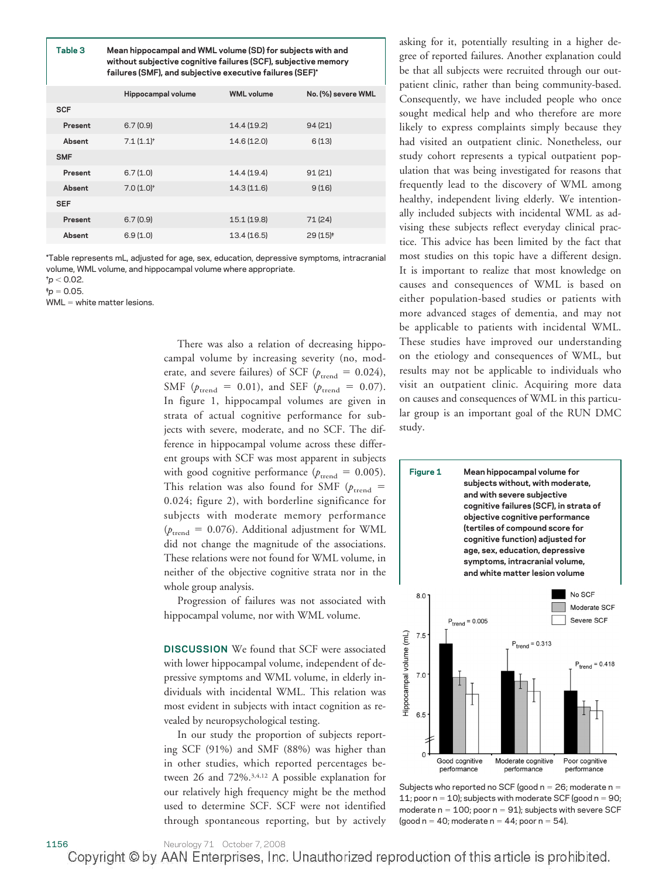**Table 3 Mean hippocampal and WML volume (SD) for subjects with and without subjective cognitive failures (SCF), subjective memory failures (SMF), and subjective executive failures (SEF)\***

|            | Hippocampal volume      | <b>WML</b> volume | No. (%) severe WML   |
|------------|-------------------------|-------------------|----------------------|
| <b>SCF</b> |                         |                   |                      |
| Present    | 6.7(0.9)                | 14.4 (19.2)       | 94(21)               |
| Absent     | $7.1(1.1)$ <sup>+</sup> | 14.6 (12.0)       | 6(13)                |
| <b>SMF</b> |                         |                   |                      |
| Present    | 6.7(1.0)                | 14.4 (19.4)       | 91(21)               |
| Absent     | $7.0(1.0)$ <sup>+</sup> | 14.3 (11.6)       | 9(16)                |
| <b>SEF</b> |                         |                   |                      |
| Present    | 6.7(0.9)                | 15.1 (19.8)       | 71 (24)              |
| Absent     | 6.9(1.0)                | 13.4(16.5)        | 29 (15) <sup>#</sup> |

\*Table represents mL, adjusted for age, sex, education, depressive symptoms, intracranial volume, WML volume, and hippocampal volume where appropriate.

 $p<$  0.02.

 $p = 0.05$ .

 $WML =$  white matter lesions.

There was also a relation of decreasing hippocampal volume by increasing severity (no, moderate, and severe failures) of SCF ( $p_{\text{trend}} = 0.024$ ), SMF ( $p_{\text{trend}} = 0.01$ ), and SEF ( $p_{\text{trend}} = 0.07$ ). In figure 1, hippocampal volumes are given in strata of actual cognitive performance for subjects with severe, moderate, and no SCF. The difference in hippocampal volume across these different groups with SCF was most apparent in subjects with good cognitive performance ( $p_{\text{trend}} = 0.005$ ). This relation was also found for SMF ( $p_{\text{trend}}$  = 0.024; figure 2), with borderline significance for subjects with moderate memory performance  $(p_{\text{trend}} = 0.076)$ . Additional adjustment for WML did not change the magnitude of the associations. These relations were not found for WML volume, in neither of the objective cognitive strata nor in the whole group analysis.

Progression of failures was not associated with hippocampal volume, nor with WML volume.

**DISCUSSION** We found that SCF were associated with lower hippocampal volume, independent of depressive symptoms and WML volume, in elderly individuals with incidental WML. This relation was most evident in subjects with intact cognition as revealed by neuropsychological testing.

In our study the proportion of subjects reporting SCF (91%) and SMF (88%) was higher than in other studies, which reported percentages between 26 and 72%.3,4,12 A possible explanation for our relatively high frequency might be the method used to determine SCF. SCF were not identified through spontaneous reporting, but by actively

asking for it, potentially resulting in a higher degree of reported failures. Another explanation could be that all subjects were recruited through our outpatient clinic, rather than being community-based. Consequently, we have included people who once sought medical help and who therefore are more likely to express complaints simply because they had visited an outpatient clinic. Nonetheless, our study cohort represents a typical outpatient population that was being investigated for reasons that frequently lead to the discovery of WML among healthy, independent living elderly. We intentionally included subjects with incidental WML as advising these subjects reflect everyday clinical practice. This advice has been limited by the fact that most studies on this topic have a different design. It is important to realize that most knowledge on causes and consequences of WML is based on either population-based studies or patients with more advanced stages of dementia, and may not be applicable to patients with incidental WML. These studies have improved our understanding on the etiology and consequences of WML, but results may not be applicable to individuals who visit an outpatient clinic. Acquiring more data on causes and consequences of WML in this particular group is an important goal of the RUN DMC study.



Subjects who reported no SCF (good  $n = 26$ ; moderate  $n =$ 11; poor  $n = 10$ ); subjects with moderate SCF (good  $n = 90$ ; moderate  $n = 100$ ; poor  $n = 91$ ); subjects with severe SCF (good  $n = 40$ ; moderate  $n = 44$ ; poor  $n = 54$ ).

1156 Neurology 71 October 7, 2008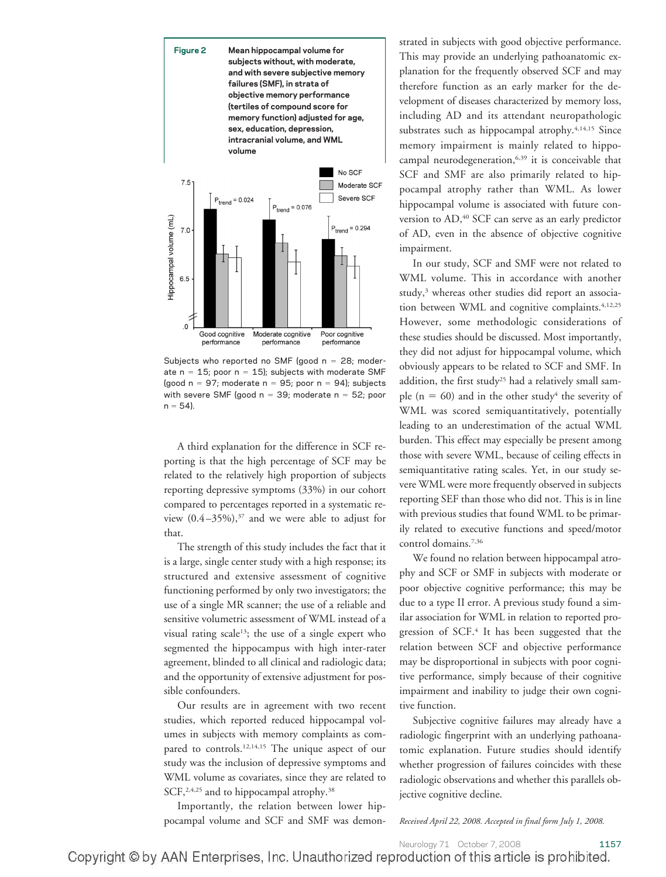

Subjects who reported no SMF (good  $n = 28$ ; moderate  $n = 15$ ; poor  $n = 15$ ); subjects with moderate SMF (good  $n = 97$ ; moderate  $n = 95$ ; poor  $n = 94$ ); subjects with severe SMF (good  $n = 39$ ; moderate  $n = 52$ ; poor  $n = 54$ ).

A third explanation for the difference in SCF reporting is that the high percentage of SCF may be related to the relatively high proportion of subjects reporting depressive symptoms (33%) in our cohort compared to percentages reported in a systematic review  $(0.4 - 35\%)$ ,<sup>37</sup> and we were able to adjust for that.

The strength of this study includes the fact that it is a large, single center study with a high response; its structured and extensive assessment of cognitive functioning performed by only two investigators; the use of a single MR scanner; the use of a reliable and sensitive volumetric assessment of WML instead of a visual rating scale<sup>13</sup>; the use of a single expert who segmented the hippocampus with high inter-rater agreement, blinded to all clinical and radiologic data; and the opportunity of extensive adjustment for possible confounders.

Our results are in agreement with two recent studies, which reported reduced hippocampal volumes in subjects with memory complaints as compared to controls.<sup>12,14,15</sup> The unique aspect of our study was the inclusion of depressive symptoms and WML volume as covariates, since they are related to SCF,<sup>2,4,25</sup> and to hippocampal atrophy.<sup>38</sup>

Importantly, the relation between lower hippocampal volume and SCF and SMF was demonstrated in subjects with good objective performance. This may provide an underlying pathoanatomic explanation for the frequently observed SCF and may therefore function as an early marker for the development of diseases characterized by memory loss, including AD and its attendant neuropathologic substrates such as hippocampal atrophy.<sup>4,14,15</sup> Since memory impairment is mainly related to hippocampal neurodegeneration,<sup>6,39</sup> it is conceivable that SCF and SMF are also primarily related to hippocampal atrophy rather than WML. As lower hippocampal volume is associated with future conversion to AD,<sup>40</sup> SCF can serve as an early predictor of AD, even in the absence of objective cognitive impairment.

In our study, SCF and SMF were not related to WML volume. This in accordance with another study,<sup>3</sup> whereas other studies did report an association between WML and cognitive complaints.<sup>4,12,25</sup> However, some methodologic considerations of these studies should be discussed. Most importantly, they did not adjust for hippocampal volume, which obviously appears to be related to SCF and SMF. In addition, the first study<sup>25</sup> had a relatively small sample ( $n = 60$ ) and in the other study<sup>4</sup> the severity of WML was scored semiquantitatively, potentially leading to an underestimation of the actual WML burden. This effect may especially be present among those with severe WML, because of ceiling effects in semiquantitative rating scales. Yet, in our study severe WML were more frequently observed in subjects reporting SEF than those who did not. This is in line with previous studies that found WML to be primarily related to executive functions and speed/motor control domains.7,36

We found no relation between hippocampal atrophy and SCF or SMF in subjects with moderate or poor objective cognitive performance; this may be due to a type II error. A previous study found a similar association for WML in relation to reported progression of SCF.4 It has been suggested that the relation between SCF and objective performance may be disproportional in subjects with poor cognitive performance, simply because of their cognitive impairment and inability to judge their own cognitive function.

Subjective cognitive failures may already have a radiologic fingerprint with an underlying pathoanatomic explanation. Future studies should identify whether progression of failures coincides with these radiologic observations and whether this parallels objective cognitive decline.

*Received April 22, 2008. Accepted in final form July 1, 2008.*

Neurology 71 October 7, 2008 1157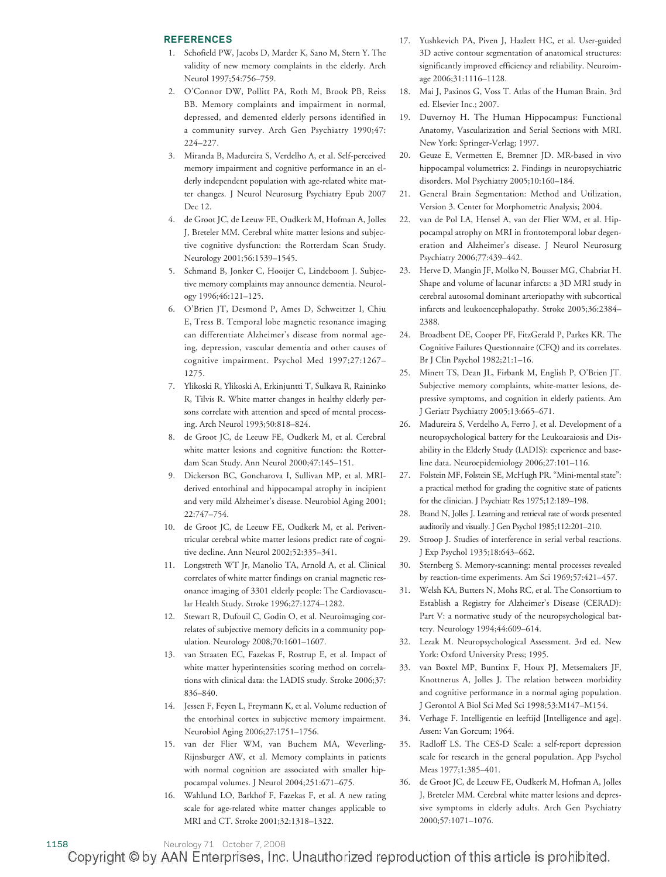#### **REFERENCES**

- 1. Schofield PW, Jacobs D, Marder K, Sano M, Stern Y. The validity of new memory complaints in the elderly. Arch Neurol 1997;54:756–759.
- 2. O'Connor DW, Pollitt PA, Roth M, Brook PB, Reiss BB. Memory complaints and impairment in normal, depressed, and demented elderly persons identified in a community survey. Arch Gen Psychiatry 1990;47: 224–227.
- 3. Miranda B, Madureira S, Verdelho A, et al. Self-perceived memory impairment and cognitive performance in an elderly independent population with age-related white matter changes. J Neurol Neurosurg Psychiatry Epub 2007 Dec 12.
- 4. de Groot JC, de Leeuw FE, Oudkerk M, Hofman A, Jolles J, Breteler MM. Cerebral white matter lesions and subjective cognitive dysfunction: the Rotterdam Scan Study. Neurology 2001;56:1539–1545.
- 5. Schmand B, Jonker C, Hooijer C, Lindeboom J. Subjective memory complaints may announce dementia. Neurology 1996;46:121–125.
- 6. O'Brien JT, Desmond P, Ames D, Schweitzer I, Chiu E, Tress B. Temporal lobe magnetic resonance imaging can differentiate Alzheimer's disease from normal ageing, depression, vascular dementia and other causes of cognitive impairment. Psychol Med 1997;27:1267– 1275.
- 7. Ylikoski R, Ylikoski A, Erkinjuntti T, Sulkava R, Raininko R, Tilvis R. White matter changes in healthy elderly persons correlate with attention and speed of mental processing. Arch Neurol 1993;50:818–824.
- 8. de Groot JC, de Leeuw FE, Oudkerk M, et al. Cerebral white matter lesions and cognitive function: the Rotterdam Scan Study. Ann Neurol 2000;47:145–151.
- 9. Dickerson BC, Goncharova I, Sullivan MP, et al. MRIderived entorhinal and hippocampal atrophy in incipient and very mild Alzheimer's disease. Neurobiol Aging 2001; 22:747–754.
- 10. de Groot JC, de Leeuw FE, Oudkerk M, et al. Periventricular cerebral white matter lesions predict rate of cognitive decline. Ann Neurol 2002;52:335–341.
- 11. Longstreth WT Jr, Manolio TA, Arnold A, et al. Clinical correlates of white matter findings on cranial magnetic resonance imaging of 3301 elderly people: The Cardiovascular Health Study. Stroke 1996;27:1274–1282.
- 12. Stewart R, Dufouil C, Godin O, et al. Neuroimaging correlates of subjective memory deficits in a community population. Neurology 2008;70:1601–1607.
- 13. van Straaten EC, Fazekas F, Rostrup E, et al. Impact of white matter hyperintensities scoring method on correlations with clinical data: the LADIS study. Stroke 2006;37: 836–840.
- 14. Jessen F, Feyen L, Freymann K, et al. Volume reduction of the entorhinal cortex in subjective memory impairment. Neurobiol Aging 2006;27:1751–1756.
- 15. van der Flier WM, van Buchem MA, Weverling-Rijnsburger AW, et al. Memory complaints in patients with normal cognition are associated with smaller hippocampal volumes. J Neurol 2004;251:671–675.
- 16. Wahlund LO, Barkhof F, Fazekas F, et al. A new rating scale for age-related white matter changes applicable to MRI and CT. Stroke 2001;32:1318–1322.
- 17. Yushkevich PA, Piven J, Hazlett HC, et al. User-guided 3D active contour segmentation of anatomical structures: significantly improved efficiency and reliability. Neuroimage 2006;31:1116–1128.
- 18. Mai J, Paxinos G, Voss T. Atlas of the Human Brain. 3rd ed. Elsevier Inc.; 2007.
- 19. Duvernoy H. The Human Hippocampus: Functional Anatomy, Vascularization and Serial Sections with MRI. New York: Springer-Verlag; 1997.
- 20. Geuze E, Vermetten E, Bremner JD. MR-based in vivo hippocampal volumetrics: 2. Findings in neuropsychiatric disorders. Mol Psychiatry 2005;10:160–184.
- 21. General Brain Segmentation: Method and Utilization, Version 3. Center for Morphometric Analysis; 2004.
- 22. van de Pol LA, Hensel A, van der Flier WM, et al. Hippocampal atrophy on MRI in frontotemporal lobar degeneration and Alzheimer's disease. J Neurol Neurosurg Psychiatry 2006;77:439–442.
- 23. Herve D, Mangin JF, Molko N, Bousser MG, Chabriat H. Shape and volume of lacunar infarcts: a 3D MRI study in cerebral autosomal dominant arteriopathy with subcortical infarcts and leukoencephalopathy. Stroke 2005;36:2384– 2388.
- 24. Broadbent DE, Cooper PF, FitzGerald P, Parkes KR. The Cognitive Failures Questionnaire (CFQ) and its correlates. Br J Clin Psychol 1982;21:1–16.
- 25. Minett TS, Dean JL, Firbank M, English P, O'Brien JT. Subjective memory complaints, white-matter lesions, depressive symptoms, and cognition in elderly patients. Am J Geriatr Psychiatry 2005;13:665–671.
- 26. Madureira S, Verdelho A, Ferro J, et al. Development of a neuropsychological battery for the Leukoaraiosis and Disability in the Elderly Study (LADIS): experience and baseline data. Neuroepidemiology 2006;27:101–116.
- 27. Folstein MF, Folstein SE, McHugh PR. "Mini-mental state": a practical method for grading the cognitive state of patients for the clinician. J Psychiatr Res 1975;12:189–198.
- 28. Brand N, Jolles J. Learning and retrieval rate of words presented auditorily and visually. J Gen Psychol 1985;112:201–210.
- 29. Stroop J. Studies of interference in serial verbal reactions. J Exp Psychol 1935;18:643–662.
- 30. Sternberg S. Memory-scanning: mental processes revealed by reaction-time experiments. Am Sci 1969;57:421–457.
- 31. Welsh KA, Butters N, Mohs RC, et al. The Consortium to Establish a Registry for Alzheimer's Disease (CERAD): Part V: a normative study of the neuropsychological battery. Neurology 1994;44:609–614.
- 32. Lezak M. Neuropsychological Assessment. 3rd ed. New York: Oxford University Press; 1995.
- 33. van Boxtel MP, Buntinx F, Houx PJ, Metsemakers JF, Knottnerus A, Jolles J. The relation between morbidity and cognitive performance in a normal aging population. J Gerontol A Biol Sci Med Sci 1998;53:M147–M154.
- 34. Verhage F. Intelligentie en leeftijd [Intelligence and age]. Assen: Van Gorcum; 1964.
- 35. Radloff LS. The CES-D Scale: a self-report depression scale for research in the general population. App Psychol Meas 1977;1:385–401.
- 36. de Groot JC, de Leeuw FE, Oudkerk M, Hofman A, Jolles J, Breteler MM. Cerebral white matter lesions and depressive symptoms in elderly adults. Arch Gen Psychiatry 2000;57:1071–1076.

1158 Neurology 71 October 7, 2008